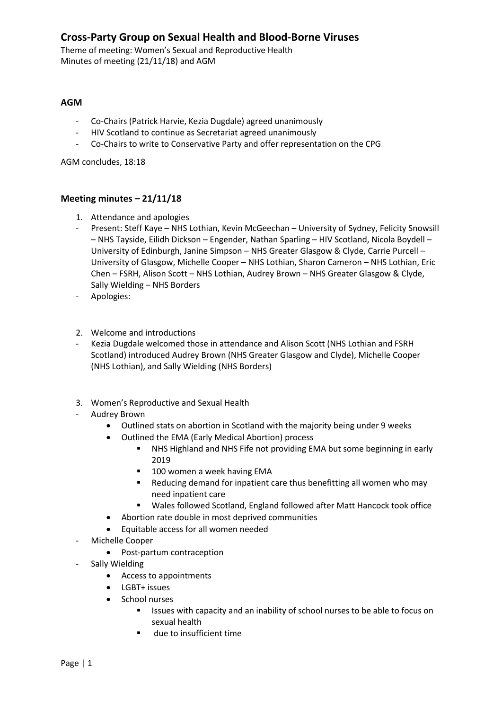## **Cross-Party Group on Sexual Health and Blood-Borne Viruses**

Theme of meeting: Women's Sexual and Reproductive Health Minutes of meeting (21/11/18) and AGM

## **AGM**

- Co-Chairs (Patrick Harvie, Kezia Dugdale) agreed unanimously
- HIV Scotland to continue as Secretariat agreed unanimously
- Co-Chairs to write to Conservative Party and offer representation on the CPG

AGM concludes, 18:18

## **Meeting minutes – 21/11/18**

- 1. Attendance and apologies
- Present: Steff Kaye NHS Lothian, Kevin McGeechan University of Sydney, Felicity Snowsill – NHS Tayside, Eilidh Dickson – Engender, Nathan Sparling – HIV Scotland, Nicola Boydell – University of Edinburgh, Janine Simpson – NHS Greater Glasgow & Clyde, Carrie Purcell – University of Glasgow, Michelle Cooper – NHS Lothian, Sharon Cameron – NHS Lothian, Eric Chen – FSRH, Alison Scott – NHS Lothian, Audrey Brown – NHS Greater Glasgow & Clyde, Sally Wielding – NHS Borders
- Apologies:
- 2. Welcome and introductions
- Kezia Dugdale welcomed those in attendance and Alison Scott (NHS Lothian and FSRH Scotland) introduced Audrey Brown (NHS Greater Glasgow and Clyde), Michelle Cooper (NHS Lothian), and Sally Wielding (NHS Borders)
- 3. Women's Reproductive and Sexual Health
- Audrey Brown
	- Outlined stats on abortion in Scotland with the majority being under 9 weeks
	- Outlined the EMA (Early Medical Abortion) process
		- NHS Highland and NHS Fife not providing EMA but some beginning in early 2019
		- 100 women a week having EMA
		- Reducing demand for inpatient care thus benefitting all women who may need inpatient care
		- Wales followed Scotland, England followed after Matt Hancock took office
	- Abortion rate double in most deprived communities
	- Equitable access for all women needed
- Michelle Cooper
	- Post-partum contraception
- Sally Wielding
	- Access to appointments
	- LGBT+ issues
	- School nurses
		- Issues with capacity and an inability of school nurses to be able to focus on sexual health
		- due to insufficient time